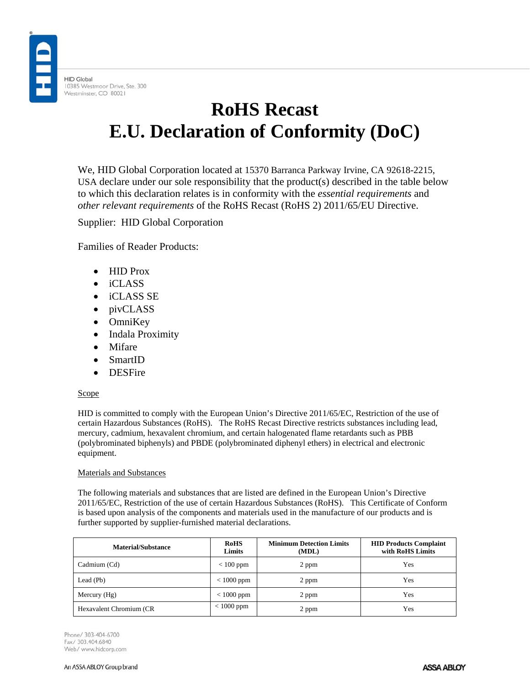**HID Global** 10385 Westmoor Drive, Ste. 300 Westminster, CO 80021

## **RoHS Recast E.U. Declaration of Conformity (DoC)**

We, HID Global Corporation located at 15370 Barranca Parkway Irvine, CA 92618-2215, USA declare under our sole responsibility that the product(s) described in the table below to which this declaration relates is in conformity with the *essential requirements* and *other relevant requirements* of the RoHS Recast (RoHS 2) 2011/65/EU Directive.

Supplier: HID Global Corporation

Families of Reader Products:

- HID Prox
- iCLASS
- iCLASS SE
- pivCLASS
- OmniKey
- Indala Proximity
- Mifare
- SmartID
- DESFire

## **Scope**

HID is committed to comply with the European Union's Directive 2011/65/EC, Restriction of the use of certain Hazardous Substances (RoHS). The RoHS Recast Directive restricts substances including lead, mercury, cadmium, hexavalent chromium, and certain halogenated flame retardants such as PBB (polybrominated biphenyls) and PBDE (polybrominated diphenyl ethers) in electrical and electronic equipment.

## Materials and Substances

The following materials and substances that are listed are defined in the European Union's Directive 2011/65/EC, Restriction of the use of certain Hazardous Substances (RoHS). This Certificate of Conform is based upon analysis of the components and materials used in the manufacture of our products and is further supported by supplier-furnished material declarations.

| <b>Material/Substance</b> | <b>RoHS</b><br>Limits | <b>Minimum Detection Limits</b><br>(MDL) | <b>HID Products Complaint</b><br>with RoHS Limits |
|---------------------------|-----------------------|------------------------------------------|---------------------------------------------------|
| Cadmium (Cd)              | $< 100$ ppm           | 2 ppm                                    | Yes                                               |
| Lead (Pb)                 | $< 1000$ ppm          | 2 ppm                                    | Yes                                               |
| Mercury $(Hg)$            | $< 1000$ ppm          | 2 ppm                                    | Yes                                               |
| Hexavalent Chromium (CR   | $< 1000$ ppm          | 2 ppm                                    | Yes                                               |

Phone/ 303-404-6700 Fax/ 303.404.6840 Web/ www.hidcorp.com